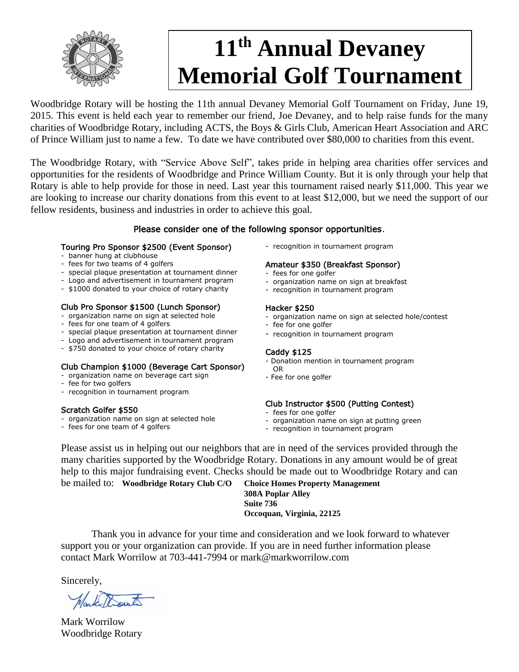

# **11th Annual Devaney Memorial Golf Tournament**

Woodbridge Rotary will be hosting the 11th annual Devaney Memorial Golf Tournament on Friday, June 19, 2015. This event is held each year to remember our friend, Joe Devaney, and to help raise funds for the many charities of Woodbridge Rotary, including ACTS, the Boys & Girls Club, American Heart Association and ARC of Prince William just to name a few. To date we have contributed over \$80,000 to charities from this event.

The Woodbridge Rotary, with "Service Above Self", takes pride in helping area charities offer services and opportunities for the residents of Woodbridge and Prince William County. But it is only through your help that Rotary is able to help provide for those in need. Last year this tournament raised nearly \$11,000. This year we are looking to increase our charity donations from this event to at least \$12,000, but we need the support of our fellow residents, business and industries in order to achieve this goal.

# Please consider one of the following sponsor opportunities.

#### Touring Pro Sponsor \$2500 (Event Sponsor)

- banner hung at clubhouse
- fees for two teams of 4 golfers
- special plaque presentation at tournament dinner
- Logo and advertisement in tournament program
- \$1000 donated to your choice of rotary charity

#### Club Pro Sponsor \$1500 (Lunch Sponsor)

- organization name on sign at selected hole
- fees for one team of 4 golfers
- special plaque presentation at tournament dinner
- Logo and advertisement in tournament program
- \$750 donated to your choice of rotary charity

# Club Champion \$1000 (Beverage Cart Sponsor)

- organization name on beverage cart sign
- fee for two golfers
- recognition in tournament program

#### Scratch Golfer \$550

- organization name on sign at selected hole
- fees for one team of 4 golfers

- recognition in tournament program

#### Amateur \$350 (Breakfast Sponsor)

- fees for one golfer
- organization name on sign at breakfast
- recognition in tournament program

#### Hacker \$250

- organization name on sign at selected hole/contest
- fee for one golfer
- recognition in tournament program

#### Caddy \$125

- Donation mention in tournament program
- OR
- Fee for one golfer

# Club Instructor \$500 (Putting Contest)

- fees for one golfer
- organization name on sign at putting green
- recognition in tournament program

Please assist us in helping out our neighbors that are in need of the services provided through the many charities supported by the Woodbridge Rotary. Donations in any amount would be of great help to this major fundraising event. Checks should be made out to Woodbridge Rotary and can

be mailed to: **Woodbridge Rotary Club C/O Choice Homes Property Management 308A Poplar Alley Suite 736 Occoquan, Virginia, 22125**

Thank you in advance for your time and consideration and we look forward to whatever support you or your organization can provide. If you are in need further information please contact Mark Worrilow at 703-441-7994 or mark@markworrilow.com

Sincerely,

Mark Worrilow Woodbridge Rotary